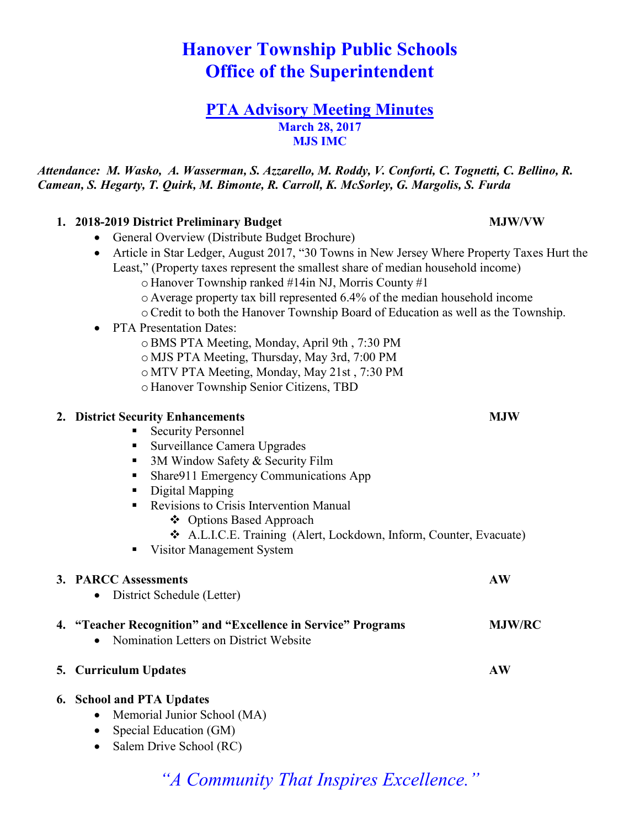# **Hanover Township Public Schools Office of the Superintendent**

# **PTA Advisory Meeting Minutes March 28, 2017 MJS IMC**

*Attendance: M. Wasko, A. Wasserman, S. Azzarello, M. Roddy, V. Conforti, C. Tognetti, C. Bellino, R. Camean, S. Hegarty, T. Quirk, M. Bimonte, R. Carroll, K. McSorley, G. Margolis, S. Furda*

## **1. 2018-2019 District Preliminary Budget MJW/VW**

- General Overview (Distribute Budget Brochure)
- Article in Star Ledger, August 2017, "30 Towns in New Jersey Where Property Taxes Hurt the Least," (Property taxes represent the smallest share of median household income)
	- o Hanover Township ranked #14in NJ, Morris County #1
	- o Average property tax bill represented 6.4% of the median household income
	- $\circ$  Credit to both the Hanover Township Board of Education as well as the Township.
- PTA Presentation Dates:
	- oBMS PTA Meeting, Monday, April 9th , 7:30 PM
	- o MJS PTA Meeting, Thursday, May 3rd, 7:00 PM
	- o MTV PTA Meeting, Monday, May 21st , 7:30 PM
	- o Hanover Township Senior Citizens, TBD

## **2. District Security Enhancements MJW**

#### **Execurity Personnel**

- Surveillance Camera Upgrades
- $\blacksquare$  3M Window Safety & Security Film
- Share911 Emergency Communications App
- Digital Mapping
- Revisions to Crisis Intervention Manual
	- ❖ Options Based Approach
	- ❖ A.L.I.C.E. Training (Alert, Lockdown, Inform, Counter, Evacuate)
- Visitor Management System

# **3. PARCC Assessments AW**

• District Schedule (Letter)

# **4. "Teacher Recognition" and "Excellence in Service" Programs MJW/RC**

• Nomination Letters on District Website

# **5. Curriculum Updates AW**

# **6. School and PTA Updates**

- Memorial Junior School (MA)
- Special Education (GM)
- Salem Drive School (RC)

# *"A Community That Inspires Excellence."*